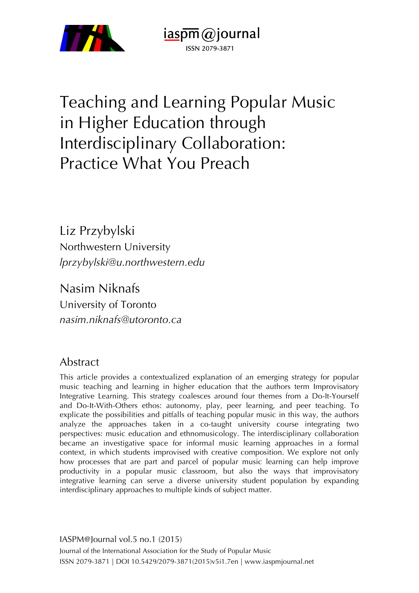

Teaching and Learning Popular Music in Higher Education through Interdisciplinary Collaboration: Practice What You Preach

 $i$ aspm $\omega$ journal ISSN 2079-3871

Liz Przybylski Northwestern University *lprzybylski@u.northwestern.edu*

Nasim Niknafs University of Toronto *nasim.niknafs@utoronto.ca*

## Abstract

This article provides a contextualized explanation of an emerging strategy for popular music teaching and learning in higher education that the authors term Improvisatory Integrative Learning. This strategy coalesces around four themes from a Do-It-Yourself and Do-It-With-Others ethos: autonomy, play, peer learning, and peer teaching. To explicate the possibilities and pitfalls of teaching popular music in this way, the authors analyze the approaches taken in a co-taught university course integrating two perspectives: music education and ethnomusicology. The interdisciplinary collaboration became an investigative space for informal music learning approaches in a formal context, in which students improvised with creative composition. We explore not only how processes that are part and parcel of popular music learning can help improve productivity in a popular music classroom, but also the ways that improvisatory integrative learning can serve a diverse university student population by expanding interdisciplinary approaches to multiple kinds of subject matter.

IASPM@Journal vol.5 no.1 (2015) Journal of the International Association for the Study of Popular Music ISSN 2079-3871 | DOI 10.5429/2079-3871(2015)v5i1.7en | www.iaspmjournal.net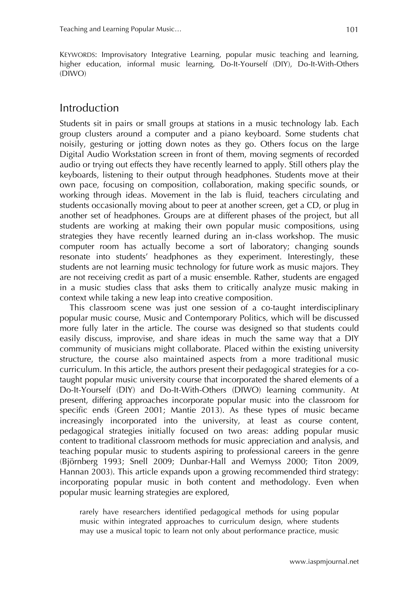KEYWORDS: Improvisatory Integrative Learning, popular music teaching and learning, higher education, informal music learning, Do-It-Yourself (DIY), Do-It-With-Others (DIWO)

## Introduction

Students sit in pairs or small groups at stations in a music technology lab. Each group clusters around a computer and a piano keyboard. Some students chat noisily, gesturing or jotting down notes as they go. Others focus on the large Digital Audio Workstation screen in front of them, moving segments of recorded audio or trying out effects they have recently learned to apply. Still others play the keyboards, listening to their output through headphones. Students move at their own pace, focusing on composition, collaboration, making specific sounds, or working through ideas. Movement in the lab is fluid, teachers circulating and students occasionally moving about to peer at another screen, get a CD, or plug in another set of headphones. Groups are at different phases of the project, but all students are working at making their own popular music compositions, using strategies they have recently learned during an in-class workshop. The music computer room has actually become a sort of laboratory; changing sounds resonate into students' headphones as they experiment. Interestingly, these students are not learning music technology for future work as music majors. They are not receiving credit as part of a music ensemble. Rather, students are engaged in a music studies class that asks them to critically analyze music making in context while taking a new leap into creative composition.

This classroom scene was just one session of a co-taught interdisciplinary popular music course, Music and Contemporary Politics, which will be discussed more fully later in the article. The course was designed so that students could easily discuss, improvise, and share ideas in much the same way that a DIY community of musicians might collaborate. Placed within the existing university structure, the course also maintained aspects from a more traditional music curriculum. In this article, the authors present their pedagogical strategies for a cotaught popular music university course that incorporated the shared elements of a Do-It-Yourself (DIY) and Do-It-With-Others (DIWO) learning community. At present, differing approaches incorporate popular music into the classroom for specific ends (Green 2001; Mantie 2013). As these types of music became increasingly incorporated into the university, at least as course content, pedagogical strategies initially focused on two areas: adding popular music content to traditional classroom methods for music appreciation and analysis, and teaching popular music to students aspiring to professional careers in the genre (Björnberg 1993; Snell 2009; Dunbar-Hall and Wemyss 2000; Titon 2009, Hannan 2003). This article expands upon a growing recommended third strategy: incorporating popular music in both content and methodology. Even when popular music learning strategies are explored,

rarely have researchers identified pedagogical methods for using popular music within integrated approaches to curriculum design, where students may use a musical topic to learn not only about performance practice, music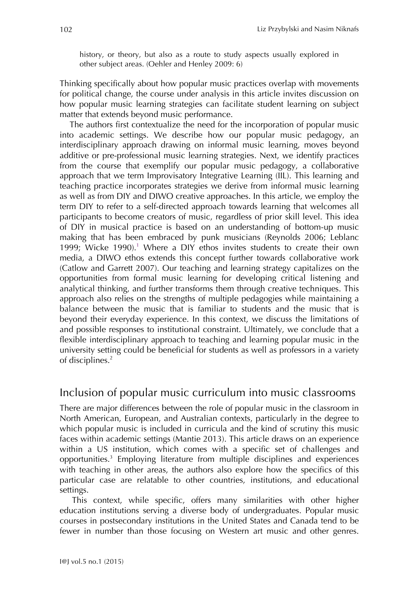history, or theory, but also as a route to study aspects usually explored in other subject areas. (Oehler and Henley 2009: 6)

Thinking specifically about how popular music practices overlap with movements for political change, the course under analysis in this article invites discussion on how popular music learning strategies can facilitate student learning on subject matter that extends beyond music performance.

The authors first contextualize the need for the incorporation of popular music into academic settings. We describe how our popular music pedagogy, an interdisciplinary approach drawing on informal music learning, moves beyond additive or pre-professional music learning strategies. Next, we identify practices from the course that exemplify our popular music pedagogy, a collaborative approach that we term Improvisatory Integrative Learning (IIL). This learning and teaching practice incorporates strategies we derive from informal music learning as well as from DIY and DIWO creative approaches. In this article, we employ the term DIY to refer to a self-directed approach towards learning that welcomes all participants to become creators of music, regardless of prior skill level. This idea of DIY in musical practice is based on an understanding of bottom-up music making that has been embraced by punk musicians (Reynolds 2006; Leblanc 1999; Wicke 1990).<sup>1</sup> Where a DIY ethos invites students to create their own media, a DIWO ethos extends this concept further towards collaborative work (Catlow and Garrett 2007). Our teaching and learning strategy capitalizes on the opportunities from formal music learning for developing critical listening and analytical thinking, and further transforms them through creative techniques. This approach also relies on the strengths of multiple pedagogies while maintaining a balance between the music that is familiar to students and the music that is beyond their everyday experience. In this context, we discuss the limitations of and possible responses to institutional constraint. Ultimately, we conclude that a flexible interdisciplinary approach to teaching and learning popular music in the university setting could be beneficial for students as well as professors in a variety of disciplines. 2

## Inclusion of popular music curriculum into music classrooms

There are major differences between the role of popular music in the classroom in North American, European, and Australian contexts, particularly in the degree to which popular music is included in curricula and the kind of scrutiny this music faces within academic settings (Mantie 2013). This article draws on an experience within a US institution, which comes with a specific set of challenges and opportunities.3 Employing literature from multiple disciplines and experiences with teaching in other areas, the authors also explore how the specifics of this particular case are relatable to other countries, institutions, and educational settings.

This context, while specific, offers many similarities with other higher education institutions serving a diverse body of undergraduates. Popular music courses in postsecondary institutions in the United States and Canada tend to be fewer in number than those focusing on Western art music and other genres.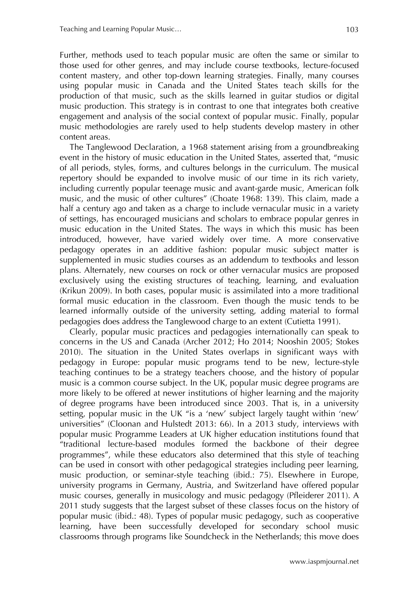Further, methods used to teach popular music are often the same or similar to those used for other genres, and may include course textbooks, lecture-focused content mastery, and other top-down learning strategies. Finally, many courses using popular music in Canada and the United States teach skills for the production of that music, such as the skills learned in guitar studios or digital music production. This strategy is in contrast to one that integrates both creative engagement and analysis of the social context of popular music. Finally, popular music methodologies are rarely used to help students develop mastery in other content areas.

The Tanglewood Declaration, a 1968 statement arising from a groundbreaking event in the history of music education in the United States, asserted that, "music of all periods, styles, forms, and cultures belongs in the curriculum. The musical repertory should be expanded to involve music of our time in its rich variety, including currently popular teenage music and avant-garde music, American folk music, and the music of other cultures" (Choate 1968: 139). This claim, made a half a century ago and taken as a charge to include vernacular music in a variety of settings, has encouraged musicians and scholars to embrace popular genres in music education in the United States. The ways in which this music has been introduced, however, have varied widely over time. A more conservative pedagogy operates in an additive fashion: popular music subject matter is supplemented in music studies courses as an addendum to textbooks and lesson plans. Alternately, new courses on rock or other vernacular musics are proposed exclusively using the existing structures of teaching, learning, and evaluation (Krikun 2009). In both cases, popular music is assimilated into a more traditional formal music education in the classroom. Even though the music tends to be learned informally outside of the university setting, adding material to formal pedagogies does address the Tanglewood charge to an extent (Cutietta 1991).

Clearly, popular music practices and pedagogies internationally can speak to concerns in the US and Canada (Archer 2012; Ho 2014; Nooshin 2005; Stokes 2010). The situation in the United States overlaps in significant ways with pedagogy in Europe: popular music programs tend to be new, lecture-style teaching continues to be a strategy teachers choose, and the history of popular music is a common course subject. In the UK, popular music degree programs are more likely to be offered at newer institutions of higher learning and the majority of degree programs have been introduced since 2003. That is, in a university setting, popular music in the UK "is a 'new' subject largely taught within 'new' universities" (Cloonan and Hulstedt 2013: 66). In a 2013 study, interviews with popular music Programme Leaders at UK higher education institutions found that "traditional lecture-based modules formed the backbone of their degree programmes", while these educators also determined that this style of teaching can be used in consort with other pedagogical strategies including peer learning, music production, or seminar-style teaching (ibid.: 75). Elsewhere in Europe, university programs in Germany, Austria, and Switzerland have offered popular music courses, generally in musicology and music pedagogy (Pfleiderer 2011). A 2011 study suggests that the largest subset of these classes focus on the history of popular music (ibid.: 48). Types of popular music pedagogy, such as cooperative learning, have been successfully developed for secondary school music classrooms through programs like Soundcheck in the Netherlands; this move does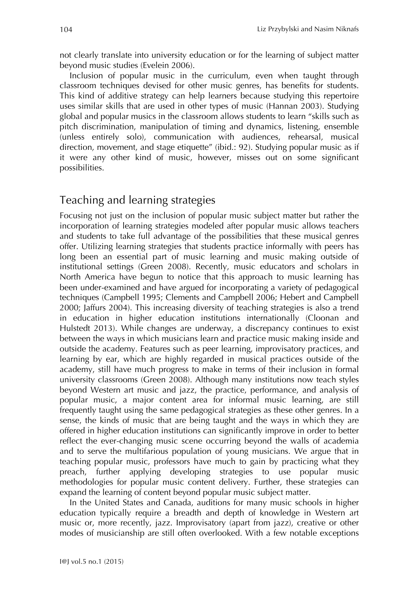not clearly translate into university education or for the learning of subject matter beyond music studies (Evelein 2006).

Inclusion of popular music in the curriculum, even when taught through classroom techniques devised for other music genres, has benefits for students. This kind of additive strategy can help learners because studying this repertoire uses similar skills that are used in other types of music (Hannan 2003). Studying global and popular musics in the classroom allows students to learn "skills such as pitch discrimination, manipulation of timing and dynamics, listening, ensemble (unless entirely solo), communication with audiences, rehearsal, musical direction, movement, and stage etiquette" (ibid.: 92). Studying popular music as if it were any other kind of music, however, misses out on some significant possibilities.

## Teaching and learning strategies

Focusing not just on the inclusion of popular music subject matter but rather the incorporation of learning strategies modeled after popular music allows teachers and students to take full advantage of the possibilities that these musical genres offer. Utilizing learning strategies that students practice informally with peers has long been an essential part of music learning and music making outside of institutional settings (Green 2008). Recently, music educators and scholars in North America have begun to notice that this approach to music learning has been under-examined and have argued for incorporating a variety of pedagogical techniques (Campbell 1995; Clements and Campbell 2006; Hebert and Campbell 2000; Jaffurs 2004). This increasing diversity of teaching strategies is also a trend in education in higher education institutions internationally (Cloonan and Hulstedt 2013). While changes are underway, a discrepancy continues to exist between the ways in which musicians learn and practice music making inside and outside the academy. Features such as peer learning, improvisatory practices, and learning by ear, which are highly regarded in musical practices outside of the academy, still have much progress to make in terms of their inclusion in formal university classrooms (Green 2008). Although many institutions now teach styles beyond Western art music and jazz, the practice, performance, and analysis of popular music, a major content area for informal music learning, are still frequently taught using the same pedagogical strategies as these other genres. In a sense, the kinds of music that are being taught and the ways in which they are offered in higher education institutions can significantly improve in order to better reflect the ever-changing music scene occurring beyond the walls of academia and to serve the multifarious population of young musicians. We argue that in teaching popular music, professors have much to gain by practicing what they preach, further applying developing strategies to use popular music methodologies for popular music content delivery. Further, these strategies can expand the learning of content beyond popular music subject matter.

In the United States and Canada, auditions for many music schools in higher education typically require a breadth and depth of knowledge in Western art music or, more recently, jazz. Improvisatory (apart from jazz), creative or other modes of musicianship are still often overlooked. With a few notable exceptions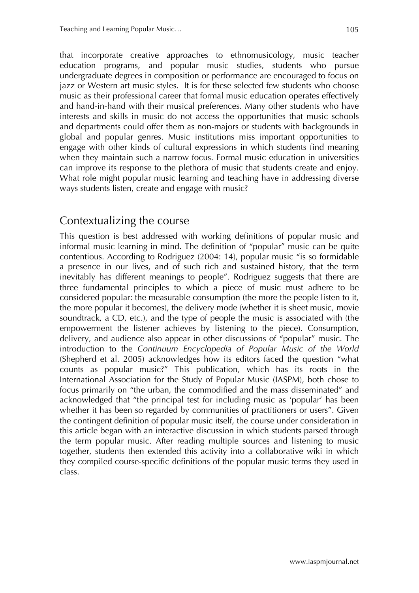that incorporate creative approaches to ethnomusicology, music teacher education programs, and popular music studies, students who pursue undergraduate degrees in composition or performance are encouraged to focus on jazz or Western art music styles. It is for these selected few students who choose music as their professional career that formal music education operates effectively and hand-in-hand with their musical preferences. Many other students who have interests and skills in music do not access the opportunities that music schools and departments could offer them as non-majors or students with backgrounds in global and popular genres. Music institutions miss important opportunities to engage with other kinds of cultural expressions in which students find meaning when they maintain such a narrow focus. Formal music education in universities can improve its response to the plethora of music that students create and enjoy. What role might popular music learning and teaching have in addressing diverse ways students listen, create and engage with music?

# Contextualizing the course

This question is best addressed with working definitions of popular music and informal music learning in mind. The definition of "popular" music can be quite contentious. According to Rodriguez (2004: 14), popular music "is so formidable a presence in our lives, and of such rich and sustained history, that the term inevitably has different meanings to people". Rodriguez suggests that there are three fundamental principles to which a piece of music must adhere to be considered popular: the measurable consumption (the more the people listen to it, the more popular it becomes), the delivery mode (whether it is sheet music, movie soundtrack, a CD, etc.), and the type of people the music is associated with (the empowerment the listener achieves by listening to the piece). Consumption, delivery, and audience also appear in other discussions of "popular" music. The introduction to the *Continuum Encyclopedia of Popular Music of the World* (Shepherd et al. 2005) acknowledges how its editors faced the question "what counts as popular music?" This publication, which has its roots in the International Association for the Study of Popular Music (IASPM), both chose to focus primarily on "the urban, the commodified and the mass disseminated" and acknowledged that "the principal test for including music as 'popular' has been whether it has been so regarded by communities of practitioners or users". Given the contingent definition of popular music itself, the course under consideration in this article began with an interactive discussion in which students parsed through the term popular music. After reading multiple sources and listening to music together, students then extended this activity into a collaborative wiki in which they compiled course-specific definitions of the popular music terms they used in class.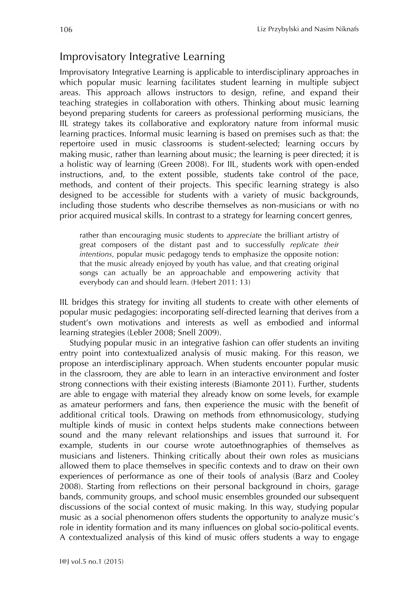# Improvisatory Integrative Learning

Improvisatory Integrative Learning is applicable to interdisciplinary approaches in which popular music learning facilitates student learning in multiple subject areas. This approach allows instructors to design, refine, and expand their teaching strategies in collaboration with others. Thinking about music learning beyond preparing students for careers as professional performing musicians, the IIL strategy takes its collaborative and exploratory nature from informal music learning practices. Informal music learning is based on premises such as that: the repertoire used in music classrooms is student-selected; learning occurs by making music, rather than learning about music; the learning is peer directed; it is a holistic way of learning (Green 2008). For IIL, students work with open-ended instructions, and, to the extent possible, students take control of the pace, methods, and content of their projects. This specific learning strategy is also designed to be accessible for students with a variety of music backgrounds, including those students who describe themselves as non-musicians or with no prior acquired musical skills. In contrast to a strategy for learning concert genres,

rather than encouraging music students to *appreciate* the brilliant artistry of great composers of the distant past and to successfully *replicate their intentions*, popular music pedagogy tends to emphasize the opposite notion: that the music already enjoyed by youth has value, and that creating original songs can actually be an approachable and empowering activity that everybody can and should learn. (Hebert 2011: 13)

IIL bridges this strategy for inviting all students to create with other elements of popular music pedagogies: incorporating self-directed learning that derives from a student's own motivations and interests as well as embodied and informal learning strategies (Lebler 2008; Snell 2009).

Studying popular music in an integrative fashion can offer students an inviting entry point into contextualized analysis of music making. For this reason, we propose an interdisciplinary approach. When students encounter popular music in the classroom, they are able to learn in an interactive environment and foster strong connections with their existing interests (Biamonte 2011). Further, students are able to engage with material they already know on some levels, for example as amateur performers and fans, then experience the music with the benefit of additional critical tools. Drawing on methods from ethnomusicology, studying multiple kinds of music in context helps students make connections between sound and the many relevant relationships and issues that surround it. For example, students in our course wrote autoethnographies of themselves as musicians and listeners. Thinking critically about their own roles as musicians allowed them to place themselves in specific contexts and to draw on their own experiences of performance as one of their tools of analysis (Barz and Cooley 2008). Starting from reflections on their personal background in choirs, garage bands, community groups, and school music ensembles grounded our subsequent discussions of the social context of music making. In this way, studying popular music as a social phenomenon offers students the opportunity to analyze music's role in identity formation and its many influences on global socio-political events. A contextualized analysis of this kind of music offers students a way to engage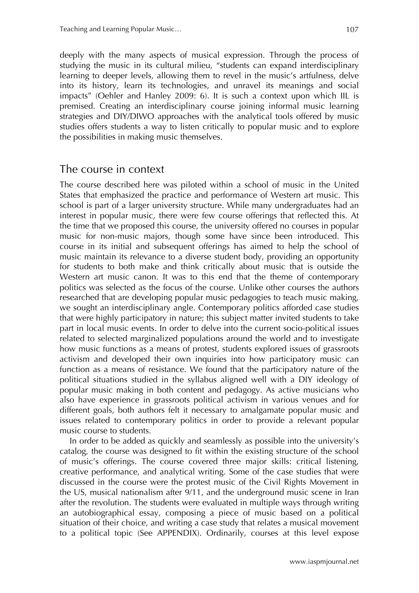deeply with the many aspects of musical expression. Through the process of studying the music in its cultural milieu, "students can expand interdisciplinary learning to deeper levels, allowing them to revel in the music's artfulness, delve into its history, learn its technologies, and unravel its meanings and social impacts" (Oehler and Hanley 2009: 6). It is such a context upon which IIL is premised. Creating an interdisciplinary course joining informal music learning strategies and DIY/DIWO approaches with the analytical tools offered by music studies offers students a way to listen critically to popular music and to explore the possibilities in making music themselves.

### The course in context

The course described here was piloted within a school of music in the United States that emphasized the practice and performance of Western art music. This school is part of a larger university structure. While many undergraduates had an interest in popular music, there were few course offerings that reflected this. At the time that we proposed this course, the university offered no courses in popular music for non-music majors, though some have since been introduced. This course in its initial and subsequent offerings has aimed to help the school of music maintain its relevance to a diverse student body, providing an opportunity for students to both make and think critically about music that is outside the Western art music canon. It was to this end that the theme of contemporary politics was selected as the focus of the course. Unlike other courses the authors researched that are developing popular music pedagogies to teach music making, we sought an interdisciplinary angle. Contemporary politics afforded case studies that were highly participatory in nature; this subject matter invited students to take part in local music events. In order to delve into the current socio-political issues related to selected marginalized populations around the world and to investigate how music functions as a means of protest, students explored issues of grassroots activism and developed their own inquiries into how participatory music can function as a means of resistance. We found that the participatory nature of the political situations studied in the syllabus aligned well with a DIY ideology of popular music making in both content and pedagogy. As active musicians who also have experience in grassroots political activism in various venues and for different goals, both authors felt it necessary to amalgamate popular music and issues related to contemporary politics in order to provide a relevant popular music course to students.

In order to be added as quickly and seamlessly as possible into the university's catalog, the course was designed to fit within the existing structure of the school of music's offerings. The course covered three major skills: critical listening, creative performance, and analytical writing. Some of the case studies that were discussed in the course were the protest music of the Civil Rights Movement in the US, musical nationalism after 9/11, and the underground music scene in Iran after the revolution. The students were evaluated in multiple ways through writing an autobiographical essay, composing a piece of music based on a political situation of their choice, and writing a case study that relates a musical movement to a political topic (See APPENDIX). Ordinarily, courses at this level expose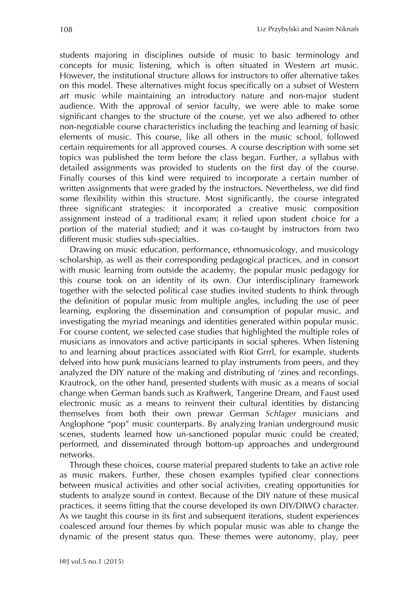students majoring in disciplines outside of music to basic terminology and concepts for music listening, which is often situated in Western art music. However, the institutional structure allows for instructors to offer alternative takes on this model. These alternatives might focus specifically on a subset of Western art music while maintaining an introductory nature and non-major student audience. With the approval of senior faculty, we were able to make some significant changes to the structure of the course, yet we also adhered to other non-negotiable course characteristics including the teaching and learning of basic elements of music. This course, like all others in the music school, followed certain requirements for all approved courses. A course description with some set topics was published the term before the class began. Further, a syllabus with detailed assignments was provided to students on the first day of the course. Finally courses of this kind were required to incorporate a certain number of written assignments that were graded by the instructors. Nevertheless, we did find some flexibility within this structure. Most significantly, the course integrated three significant strategies: it incorporated a creative music composition assignment instead of a traditional exam; it relied upon student choice for a portion of the material studied; and it was co-taught by instructors from two different music studies sub-specialties.

Drawing on music education, performance, ethnomusicology, and musicology scholarship, as well as their corresponding pedagogical practices, and in consort with music learning from outside the academy, the popular music pedagogy for this course took on an identity of its own. Our interdisciplinary framework together with the selected political case studies invited students to think through the definition of popular music from multiple angles, including the use of peer learning, exploring the dissemination and consumption of popular music, and investigating the myriad meanings and identities generated within popular music. For course content, we selected case studies that highlighted the multiple roles of musicians as innovators and active participants in social spheres. When listening to and learning about practices associated with Riot Grrrl, for example, students delved into how punk musicians learned to play instruments from peers, and they analyzed the DIY nature of the making and distributing of 'zines and recordings. Krautrock, on the other hand, presented students with music as a means of social change when German bands such as Kraftwerk, Tangerine Dream, and Faust used electronic music as a means to reinvent their cultural identities by distancing themselves from both their own prewar German *Schlager* musicians and Anglophone "pop" music counterparts. By analyzing Iranian underground music scenes, students learned how un-sanctioned popular music could be created, performed, and disseminated through bottom-up approaches and underground networks.

Through these choices, course material prepared students to take an active role as music makers. Further, these chosen examples typified clear connections between musical activities and other social activities, creating opportunities for students to analyze sound in context. Because of the DIY nature of these musical practices, it seems fitting that the course developed its own DIY/DIWO character. As we taught this course in its first and subsequent iterations, student experiences coalesced around four themes by which popular music was able to change the dynamic of the present status quo. These themes were autonomy, play, peer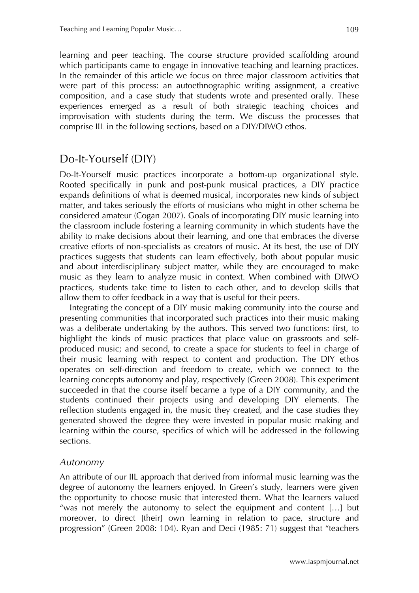learning and peer teaching. The course structure provided scaffolding around which participants came to engage in innovative teaching and learning practices. In the remainder of this article we focus on three major classroom activities that were part of this process: an autoethnographic writing assignment, a creative composition, and a case study that students wrote and presented orally. These experiences emerged as a result of both strategic teaching choices and improvisation with students during the term. We discuss the processes that comprise IIL in the following sections, based on a DIY/DIWO ethos.

# Do-It-Yourself (DIY)

Do-It-Yourself music practices incorporate a bottom-up organizational style. Rooted specifically in punk and post-punk musical practices, a DIY practice expands definitions of what is deemed musical, incorporates new kinds of subject matter, and takes seriously the efforts of musicians who might in other schema be considered amateur (Cogan 2007). Goals of incorporating DIY music learning into the classroom include fostering a learning community in which students have the ability to make decisions about their learning, and one that embraces the diverse creative efforts of non-specialists as creators of music. At its best, the use of DIY practices suggests that students can learn effectively, both about popular music and about interdisciplinary subject matter, while they are encouraged to make music as they learn to analyze music in context. When combined with DIWO practices, students take time to listen to each other, and to develop skills that allow them to offer feedback in a way that is useful for their peers.

Integrating the concept of a DIY music making community into the course and presenting communities that incorporated such practices into their music making was a deliberate undertaking by the authors. This served two functions: first, to highlight the kinds of music practices that place value on grassroots and selfproduced music; and second, to create a space for students to feel in charge of their music learning with respect to content and production. The DIY ethos operates on self-direction and freedom to create, which we connect to the learning concepts autonomy and play, respectively (Green 2008). This experiment succeeded in that the course itself became a type of a DIY community, and the students continued their projects using and developing DIY elements. The reflection students engaged in, the music they created, and the case studies they generated showed the degree they were invested in popular music making and learning within the course, specifics of which will be addressed in the following sections.

#### *Autonomy*

An attribute of our IIL approach that derived from informal music learning was the degree of autonomy the learners enjoyed. In Green's study, learners were given the opportunity to choose music that interested them. What the learners valued "was not merely the autonomy to select the equipment and content […] but moreover, to direct [their] own learning in relation to pace, structure and progression" (Green 2008: 104). Ryan and Deci (1985: 71) suggest that "teachers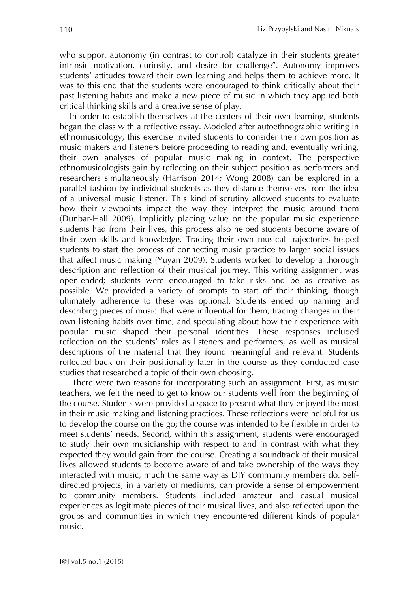who support autonomy (in contrast to control) catalyze in their students greater intrinsic motivation, curiosity, and desire for challenge". Autonomy improves students' attitudes toward their own learning and helps them to achieve more. It was to this end that the students were encouraged to think critically about their past listening habits and make a new piece of music in which they applied both critical thinking skills and a creative sense of play.

In order to establish themselves at the centers of their own learning, students began the class with a reflective essay. Modeled after autoethnographic writing in ethnomusicology, this exercise invited students to consider their own position as music makers and listeners before proceeding to reading and, eventually writing, their own analyses of popular music making in context. The perspective ethnomusicologists gain by reflecting on their subject position as performers and researchers simultaneously (Harrison 2014; Wong 2008) can be explored in a parallel fashion by individual students as they distance themselves from the idea of a universal music listener. This kind of scrutiny allowed students to evaluate how their viewpoints impact the way they interpret the music around them (Dunbar-Hall 2009). Implicitly placing value on the popular music experience students had from their lives, this process also helped students become aware of their own skills and knowledge. Tracing their own musical trajectories helped students to start the process of connecting music practice to larger social issues that affect music making (Yuyan 2009). Students worked to develop a thorough description and reflection of their musical journey. This writing assignment was open-ended; students were encouraged to take risks and be as creative as possible. We provided a variety of prompts to start off their thinking, though ultimately adherence to these was optional. Students ended up naming and describing pieces of music that were influential for them, tracing changes in their own listening habits over time, and speculating about how their experience with popular music shaped their personal identities. These responses included reflection on the students' roles as listeners and performers, as well as musical descriptions of the material that they found meaningful and relevant. Students reflected back on their positionality later in the course as they conducted case studies that researched a topic of their own choosing.

There were two reasons for incorporating such an assignment. First, as music teachers, we felt the need to get to know our students well from the beginning of the course. Students were provided a space to present what they enjoyed the most in their music making and listening practices. These reflections were helpful for us to develop the course on the go; the course was intended to be flexible in order to meet students' needs. Second, within this assignment, students were encouraged to study their own musicianship with respect to and in contrast with what they expected they would gain from the course. Creating a soundtrack of their musical lives allowed students to become aware of and take ownership of the ways they interacted with music, much the same way as DIY community members do. Selfdirected projects, in a variety of mediums, can provide a sense of empowerment to community members. Students included amateur and casual musical experiences as legitimate pieces of their musical lives, and also reflected upon the groups and communities in which they encountered different kinds of popular music.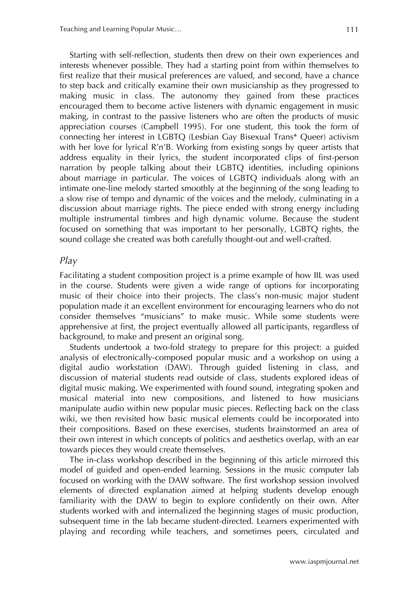Starting with self-reflection, students then drew on their own experiences and interests whenever possible. They had a starting point from within themselves to first realize that their musical preferences are valued, and second, have a chance to step back and critically examine their own musicianship as they progressed to making music in class. The autonomy they gained from these practices encouraged them to become active listeners with dynamic engagement in music making, in contrast to the passive listeners who are often the products of music appreciation courses (Campbell 1995). For one student, this took the form of connecting her interest in LGBTQ (Lesbian Gay Bisexual Trans\* Queer) activism with her love for lyrical R'n'B. Working from existing songs by queer artists that address equality in their lyrics, the student incorporated clips of first-person narration by people talking about their LGBTQ identities, including opinions about marriage in particular. The voices of LGBTQ individuals along with an intimate one-line melody started smoothly at the beginning of the song leading to a slow rise of tempo and dynamic of the voices and the melody, culminating in a discussion about marriage rights. The piece ended with strong energy including multiple instrumental timbres and high dynamic volume. Because the student focused on something that was important to her personally, LGBTQ rights, the sound collage she created was both carefully thought-out and well-crafted.

#### *Play*

Facilitating a student composition project is a prime example of how IIL was used in the course. Students were given a wide range of options for incorporating music of their choice into their projects. The class's non-music major student population made it an excellent environment for encouraging learners who do not consider themselves "musicians" to make music. While some students were apprehensive at first, the project eventually allowed all participants, regardless of background, to make and present an original song.

Students undertook a two-fold strategy to prepare for this project: a guided analysis of electronically-composed popular music and a workshop on using a digital audio workstation (DAW). Through guided listening in class, and discussion of material students read outside of class, students explored ideas of digital music making. We experimented with found sound, integrating spoken and musical material into new compositions, and listened to how musicians manipulate audio within new popular music pieces. Reflecting back on the class wiki, we then revisited how basic musical elements could be incorporated into their compositions. Based on these exercises, students brainstormed an area of their own interest in which concepts of politics and aesthetics overlap, with an ear towards pieces they would create themselves.

The in-class workshop described in the beginning of this article mirrored this model of guided and open-ended learning. Sessions in the music computer lab focused on working with the DAW software. The first workshop session involved elements of directed explanation aimed at helping students develop enough familiarity with the DAW to begin to explore confidently on their own. After students worked with and internalized the beginning stages of music production, subsequent time in the lab became student-directed. Learners experimented with playing and recording while teachers, and sometimes peers, circulated and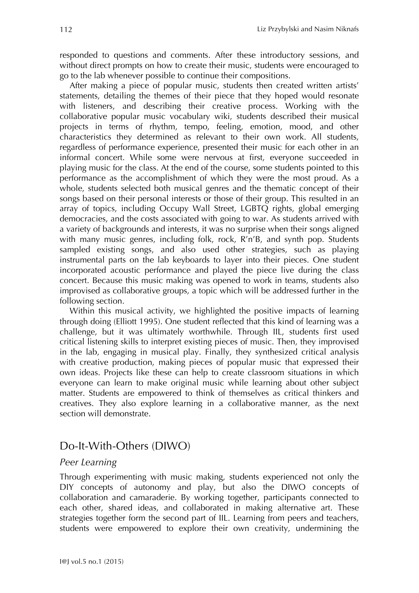responded to questions and comments. After these introductory sessions, and without direct prompts on how to create their music, students were encouraged to go to the lab whenever possible to continue their compositions.

After making a piece of popular music, students then created written artists' statements, detailing the themes of their piece that they hoped would resonate with listeners, and describing their creative process. Working with the collaborative popular music vocabulary wiki, students described their musical projects in terms of rhythm, tempo, feeling, emotion, mood, and other characteristics they determined as relevant to their own work. All students, regardless of performance experience, presented their music for each other in an informal concert. While some were nervous at first, everyone succeeded in playing music for the class. At the end of the course, some students pointed to this performance as the accomplishment of which they were the most proud. As a whole, students selected both musical genres and the thematic concept of their songs based on their personal interests or those of their group. This resulted in an array of topics, including Occupy Wall Street, LGBTQ rights, global emerging democracies, and the costs associated with going to war. As students arrived with a variety of backgrounds and interests, it was no surprise when their songs aligned with many music genres, including folk, rock, R'n'B, and synth pop. Students sampled existing songs, and also used other strategies, such as playing instrumental parts on the lab keyboards to layer into their pieces. One student incorporated acoustic performance and played the piece live during the class concert. Because this music making was opened to work in teams, students also improvised as collaborative groups, a topic which will be addressed further in the following section.

Within this musical activity, we highlighted the positive impacts of learning through doing (Elliott 1995). One student reflected that this kind of learning was a challenge, but it was ultimately worthwhile. Through IIL, students first used critical listening skills to interpret existing pieces of music. Then, they improvised in the lab, engaging in musical play. Finally, they synthesized critical analysis with creative production, making pieces of popular music that expressed their own ideas. Projects like these can help to create classroom situations in which everyone can learn to make original music while learning about other subject matter. Students are empowered to think of themselves as critical thinkers and creatives. They also explore learning in a collaborative manner, as the next section will demonstrate.

### Do-It-With-Others (DIWO)

#### *Peer Learning*

Through experimenting with music making, students experienced not only the DIY concepts of autonomy and play, but also the DIWO concepts of collaboration and camaraderie. By working together, participants connected to each other, shared ideas, and collaborated in making alternative art. These strategies together form the second part of IIL. Learning from peers and teachers, students were empowered to explore their own creativity, undermining the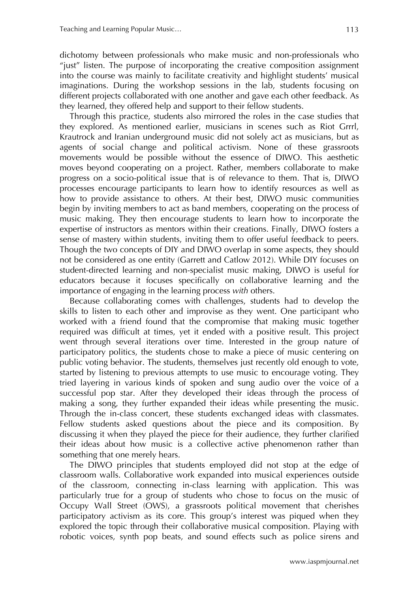dichotomy between professionals who make music and non-professionals who "just" listen. The purpose of incorporating the creative composition assignment into the course was mainly to facilitate creativity and highlight students' musical imaginations. During the workshop sessions in the lab, students focusing on different projects collaborated with one another and gave each other feedback. As they learned, they offered help and support to their fellow students.

Through this practice, students also mirrored the roles in the case studies that they explored. As mentioned earlier, musicians in scenes such as Riot Grrrl, Krautrock and Iranian underground music did not solely act as musicians, but as agents of social change and political activism. None of these grassroots movements would be possible without the essence of DIWO. This aesthetic moves beyond cooperating on a project. Rather, members collaborate to make progress on a socio-political issue that is of relevance to them. That is, DIWO processes encourage participants to learn how to identify resources as well as how to provide assistance to others. At their best, DIWO music communities begin by inviting members to act as band members, cooperating on the process of music making. They then encourage students to learn how to incorporate the expertise of instructors as mentors within their creations. Finally, DIWO fosters a sense of mastery within students, inviting them to offer useful feedback to peers. Though the two concepts of DIY and DIWO overlap in some aspects, they should not be considered as one entity (Garrett and Catlow 2012). While DIY focuses on student-directed learning and non-specialist music making, DIWO is useful for educators because it focuses specifically on collaborative learning and the importance of engaging in the learning process *with* others.

Because collaborating comes with challenges, students had to develop the skills to listen to each other and improvise as they went. One participant who worked with a friend found that the compromise that making music together required was difficult at times, yet it ended with a positive result. This project went through several iterations over time. Interested in the group nature of participatory politics, the students chose to make a piece of music centering on public voting behavior. The students, themselves just recently old enough to vote, started by listening to previous attempts to use music to encourage voting. They tried layering in various kinds of spoken and sung audio over the voice of a successful pop star. After they developed their ideas through the process of making a song, they further expanded their ideas while presenting the music. Through the in-class concert, these students exchanged ideas with classmates. Fellow students asked questions about the piece and its composition. By discussing it when they played the piece for their audience, they further clarified their ideas about how music is a collective active phenomenon rather than something that one merely hears.

The DIWO principles that students employed did not stop at the edge of classroom walls. Collaborative work expanded into musical experiences outside of the classroom, connecting in-class learning with application. This was particularly true for a group of students who chose to focus on the music of Occupy Wall Street (OWS), a grassroots political movement that cherishes participatory activism as its core. This group's interest was piqued when they explored the topic through their collaborative musical composition. Playing with robotic voices, synth pop beats, and sound effects such as police sirens and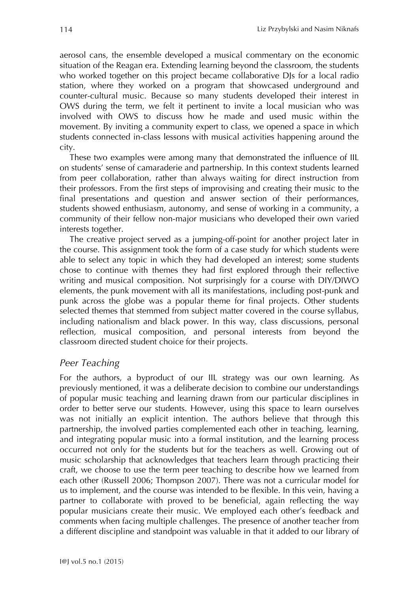aerosol cans, the ensemble developed a musical commentary on the economic situation of the Reagan era. Extending learning beyond the classroom, the students who worked together on this project became collaborative DJs for a local radio station, where they worked on a program that showcased underground and counter-cultural music. Because so many students developed their interest in OWS during the term, we felt it pertinent to invite a local musician who was involved with OWS to discuss how he made and used music within the movement. By inviting a community expert to class, we opened a space in which students connected in-class lessons with musical activities happening around the city.

These two examples were among many that demonstrated the influence of IIL on students' sense of camaraderie and partnership. In this context students learned from peer collaboration, rather than always waiting for direct instruction from their professors. From the first steps of improvising and creating their music to the final presentations and question and answer section of their performances, students showed enthusiasm, autonomy, and sense of working in a community, a community of their fellow non-major musicians who developed their own varied interests together.

The creative project served as a jumping-off-point for another project later in the course. This assignment took the form of a case study for which students were able to select any topic in which they had developed an interest; some students chose to continue with themes they had first explored through their reflective writing and musical composition. Not surprisingly for a course with DIY/DIWO elements, the punk movement with all its manifestations, including post-punk and punk across the globe was a popular theme for final projects. Other students selected themes that stemmed from subject matter covered in the course syllabus, including nationalism and black power. In this way, class discussions, personal reflection, musical composition, and personal interests from beyond the classroom directed student choice for their projects.

#### *Peer Teaching*

For the authors, a byproduct of our IIL strategy was our own learning. As previously mentioned, it was a deliberate decision to combine our understandings of popular music teaching and learning drawn from our particular disciplines in order to better serve our students. However, using this space to learn ourselves was not initially an explicit intention. The authors believe that through this partnership, the involved parties complemented each other in teaching, learning, and integrating popular music into a formal institution, and the learning process occurred not only for the students but for the teachers as well. Growing out of music scholarship that acknowledges that teachers learn through practicing their craft, we choose to use the term peer teaching to describe how we learned from each other (Russell 2006; Thompson 2007). There was not a curricular model for us to implement, and the course was intended to be flexible. In this vein, having a partner to collaborate with proved to be beneficial, again reflecting the way popular musicians create their music. We employed each other's feedback and comments when facing multiple challenges. The presence of another teacher from a different discipline and standpoint was valuable in that it added to our library of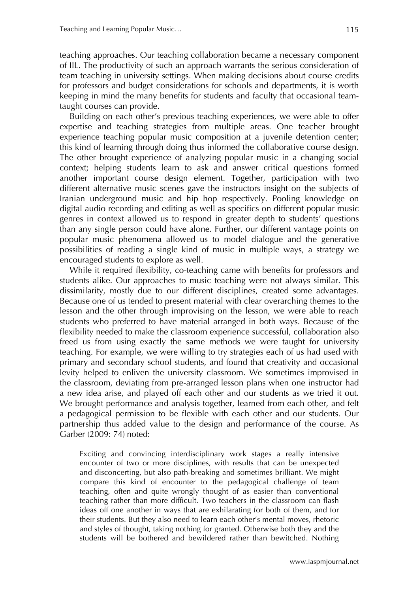teaching approaches. Our teaching collaboration became a necessary component of IIL. The productivity of such an approach warrants the serious consideration of team teaching in university settings. When making decisions about course credits for professors and budget considerations for schools and departments, it is worth keeping in mind the many benefits for students and faculty that occasional teamtaught courses can provide.

Building on each other's previous teaching experiences, we were able to offer expertise and teaching strategies from multiple areas. One teacher brought experience teaching popular music composition at a juvenile detention center; this kind of learning through doing thus informed the collaborative course design. The other brought experience of analyzing popular music in a changing social context; helping students learn to ask and answer critical questions formed another important course design element. Together, participation with two different alternative music scenes gave the instructors insight on the subjects of Iranian underground music and hip hop respectively. Pooling knowledge on digital audio recording and editing as well as specifics on different popular music genres in context allowed us to respond in greater depth to students' questions than any single person could have alone. Further, our different vantage points on popular music phenomena allowed us to model dialogue and the generative possibilities of reading a single kind of music in multiple ways, a strategy we encouraged students to explore as well.

While it required flexibility, co-teaching came with benefits for professors and students alike. Our approaches to music teaching were not always similar. This dissimilarity, mostly due to our different disciplines, created some advantages. Because one of us tended to present material with clear overarching themes to the lesson and the other through improvising on the lesson, we were able to reach students who preferred to have material arranged in both ways. Because of the flexibility needed to make the classroom experience successful, collaboration also freed us from using exactly the same methods we were taught for university teaching. For example, we were willing to try strategies each of us had used with primary and secondary school students, and found that creativity and occasional levity helped to enliven the university classroom. We sometimes improvised in the classroom, deviating from pre-arranged lesson plans when one instructor had a new idea arise, and played off each other and our students as we tried it out. We brought performance and analysis together, learned from each other, and felt a pedagogical permission to be flexible with each other and our students. Our partnership thus added value to the design and performance of the course. As Garber (2009: 74) noted:

Exciting and convincing interdisciplinary work stages a really intensive encounter of two or more disciplines, with results that can be unexpected and disconcerting, but also path-breaking and sometimes brilliant. We might compare this kind of encounter to the pedagogical challenge of team teaching, often and quite wrongly thought of as easier than conventional teaching rather than more difficult. Two teachers in the classroom can flash ideas off one another in ways that are exhilarating for both of them, and for their students. But they also need to learn each other's mental moves, rhetoric and styles of thought, taking nothing for granted. Otherwise both they and the students will be bothered and bewildered rather than bewitched. Nothing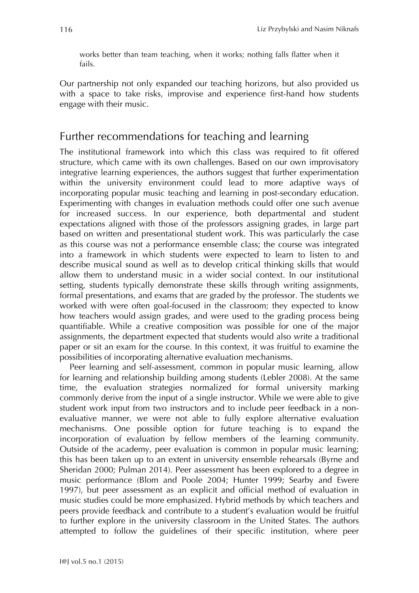works better than team teaching, when it works; nothing falls flatter when it fails.

Our partnership not only expanded our teaching horizons, but also provided us with a space to take risks, improvise and experience first-hand how students engage with their music.

## Further recommendations for teaching and learning

The institutional framework into which this class was required to fit offered structure, which came with its own challenges. Based on our own improvisatory integrative learning experiences, the authors suggest that further experimentation within the university environment could lead to more adaptive ways of incorporating popular music teaching and learning in post-secondary education. Experimenting with changes in evaluation methods could offer one such avenue for increased success. In our experience, both departmental and student expectations aligned with those of the professors assigning grades, in large part based on written and presentational student work. This was particularly the case as this course was not a performance ensemble class; the course was integrated into a framework in which students were expected to learn to listen to and describe musical sound as well as to develop critical thinking skills that would allow them to understand music in a wider social context. In our institutional setting, students typically demonstrate these skills through writing assignments, formal presentations, and exams that are graded by the professor. The students we worked with were often goal-focused in the classroom; they expected to know how teachers would assign grades, and were used to the grading process being quantifiable. While a creative composition was possible for one of the major assignments, the department expected that students would also write a traditional paper or sit an exam for the course. In this context, it was fruitful to examine the possibilities of incorporating alternative evaluation mechanisms.

Peer learning and self-assessment, common in popular music learning, allow for learning and relationship building among students (Lebler 2008). At the same time, the evaluation strategies normalized for formal university marking commonly derive from the input of a single instructor. While we were able to give student work input from two instructors and to include peer feedback in a nonevaluative manner, we were not able to fully explore alternative evaluation mechanisms. One possible option for future teaching is to expand the incorporation of evaluation by fellow members of the learning community. Outside of the academy, peer evaluation is common in popular music learning; this has been taken up to an extent in university ensemble rehearsals (Byrne and Sheridan 2000; Pulman 2014). Peer assessment has been explored to a degree in music performance (Blom and Poole 2004; Hunter 1999; Searby and Ewere 1997), but peer assessment as an explicit and official method of evaluation in music studies could be more emphasized. Hybrid methods by which teachers and peers provide feedback and contribute to a student's evaluation would be fruitful to further explore in the university classroom in the United States. The authors attempted to follow the guidelines of their specific institution, where peer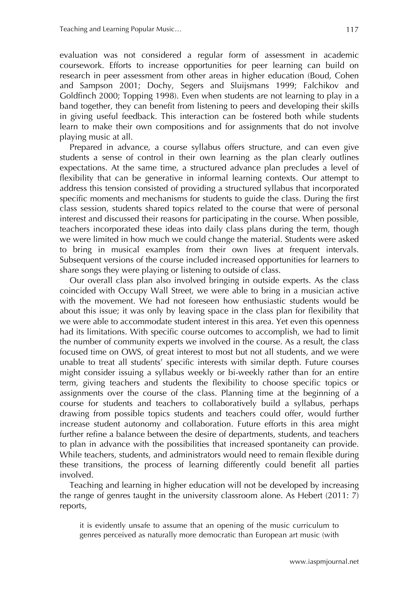evaluation was not considered a regular form of assessment in academic coursework. Efforts to increase opportunities for peer learning can build on research in peer assessment from other areas in higher education (Boud, Cohen and Sampson 2001; Dochy, Segers and Sluijsmans 1999; Falchikov and Goldfinch 2000; Topping 1998). Even when students are not learning to play in a band together, they can benefit from listening to peers and developing their skills in giving useful feedback. This interaction can be fostered both while students learn to make their own compositions and for assignments that do not involve playing music at all.

Prepared in advance, a course syllabus offers structure, and can even give students a sense of control in their own learning as the plan clearly outlines expectations. At the same time, a structured advance plan precludes a level of flexibility that can be generative in informal learning contexts. Our attempt to address this tension consisted of providing a structured syllabus that incorporated specific moments and mechanisms for students to guide the class. During the first class session, students shared topics related to the course that were of personal interest and discussed their reasons for participating in the course. When possible, teachers incorporated these ideas into daily class plans during the term, though we were limited in how much we could change the material. Students were asked to bring in musical examples from their own lives at frequent intervals. Subsequent versions of the course included increased opportunities for learners to share songs they were playing or listening to outside of class.

Our overall class plan also involved bringing in outside experts. As the class coincided with Occupy Wall Street, we were able to bring in a musician active with the movement. We had not foreseen how enthusiastic students would be about this issue; it was only by leaving space in the class plan for flexibility that we were able to accommodate student interest in this area. Yet even this openness had its limitations. With specific course outcomes to accomplish, we had to limit the number of community experts we involved in the course. As a result, the class focused time on OWS, of great interest to most but not all students, and we were unable to treat all students' specific interests with similar depth. Future courses might consider issuing a syllabus weekly or bi-weekly rather than for an entire term, giving teachers and students the flexibility to choose specific topics or assignments over the course of the class. Planning time at the beginning of a course for students and teachers to collaboratively build a syllabus, perhaps drawing from possible topics students and teachers could offer, would further increase student autonomy and collaboration. Future efforts in this area might further refine a balance between the desire of departments, students, and teachers to plan in advance with the possibilities that increased spontaneity can provide. While teachers, students, and administrators would need to remain flexible during these transitions, the process of learning differently could benefit all parties involved.

Teaching and learning in higher education will not be developed by increasing the range of genres taught in the university classroom alone. As Hebert (2011: 7) reports,

it is evidently unsafe to assume that an opening of the music curriculum to genres perceived as naturally more democratic than European art music (with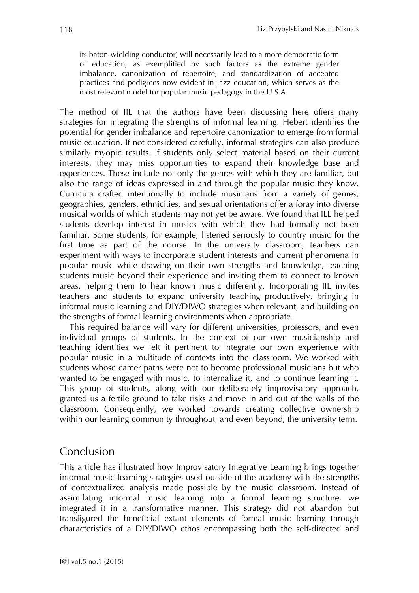its baton-wielding conductor) will necessarily lead to a more democratic form of education, as exemplified by such factors as the extreme gender imbalance, canonization of repertoire, and standardization of accepted practices and pedigrees now evident in jazz education, which serves as the most relevant model for popular music pedagogy in the U.S.A.

The method of IIL that the authors have been discussing here offers many strategies for integrating the strengths of informal learning. Hebert identifies the potential for gender imbalance and repertoire canonization to emerge from formal music education. If not considered carefully, informal strategies can also produce similarly myopic results. If students only select material based on their current interests, they may miss opportunities to expand their knowledge base and experiences. These include not only the genres with which they are familiar, but also the range of ideas expressed in and through the popular music they know. Curricula crafted intentionally to include musicians from a variety of genres, geographies, genders, ethnicities, and sexual orientations offer a foray into diverse musical worlds of which students may not yet be aware. We found that ILL helped students develop interest in musics with which they had formally not been familiar. Some students, for example, listened seriously to country music for the first time as part of the course. In the university classroom, teachers can experiment with ways to incorporate student interests and current phenomena in popular music while drawing on their own strengths and knowledge, teaching students music beyond their experience and inviting them to connect to known areas, helping them to hear known music differently. Incorporating IIL invites teachers and students to expand university teaching productively, bringing in informal music learning and DIY/DIWO strategies when relevant, and building on the strengths of formal learning environments when appropriate.

This required balance will vary for different universities, professors, and even individual groups of students. In the context of our own musicianship and teaching identities we felt it pertinent to integrate our own experience with popular music in a multitude of contexts into the classroom. We worked with students whose career paths were not to become professional musicians but who wanted to be engaged with music, to internalize it, and to continue learning it. This group of students, along with our deliberately improvisatory approach, granted us a fertile ground to take risks and move in and out of the walls of the classroom. Consequently, we worked towards creating collective ownership within our learning community throughout, and even beyond, the university term.

### Conclusion

This article has illustrated how Improvisatory Integrative Learning brings together informal music learning strategies used outside of the academy with the strengths of contextualized analysis made possible by the music classroom. Instead of assimilating informal music learning into a formal learning structure, we integrated it in a transformative manner. This strategy did not abandon but transfigured the beneficial extant elements of formal music learning through characteristics of a DIY/DIWO ethos encompassing both the self-directed and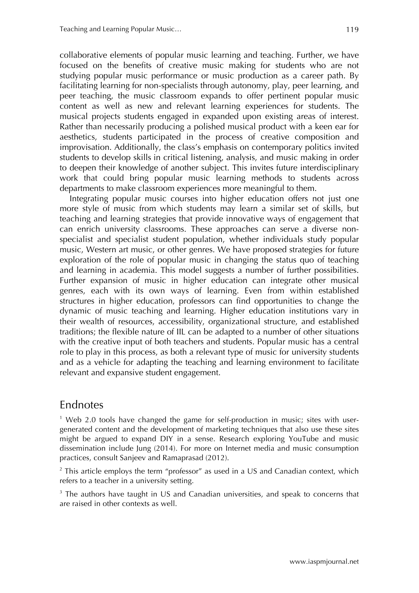collaborative elements of popular music learning and teaching. Further, we have focused on the benefits of creative music making for students who are not studying popular music performance or music production as a career path. By facilitating learning for non-specialists through autonomy, play, peer learning, and peer teaching, the music classroom expands to offer pertinent popular music content as well as new and relevant learning experiences for students. The musical projects students engaged in expanded upon existing areas of interest. Rather than necessarily producing a polished musical product with a keen ear for aesthetics, students participated in the process of creative composition and improvisation. Additionally, the class's emphasis on contemporary politics invited students to develop skills in critical listening, analysis, and music making in order to deepen their knowledge of another subject. This invites future interdisciplinary work that could bring popular music learning methods to students across departments to make classroom experiences more meaningful to them.

Integrating popular music courses into higher education offers not just one more style of music from which students may learn a similar set of skills, but teaching and learning strategies that provide innovative ways of engagement that can enrich university classrooms. These approaches can serve a diverse nonspecialist and specialist student population, whether individuals study popular music, Western art music, or other genres. We have proposed strategies for future exploration of the role of popular music in changing the status quo of teaching and learning in academia. This model suggests a number of further possibilities. Further expansion of music in higher education can integrate other musical genres, each with its own ways of learning. Even from within established structures in higher education, professors can find opportunities to change the dynamic of music teaching and learning. Higher education institutions vary in their wealth of resources, accessibility, organizational structure, and established traditions; the flexible nature of IIL can be adapted to a number of other situations with the creative input of both teachers and students. Popular music has a central role to play in this process, as both a relevant type of music for university students and as a vehicle for adapting the teaching and learning environment to facilitate relevant and expansive student engagement.

### Endnotes

 $1$  Web 2.0 tools have changed the game for self-production in music; sites with usergenerated content and the development of marketing techniques that also use these sites might be argued to expand DIY in a sense. Research exploring YouTube and music dissemination include Jung (2014). For more on Internet media and music consumption practices, consult Sanjeev and Ramaprasad (2012).

 $2$  This article employs the term "professor" as used in a US and Canadian context, which refers to a teacher in a university setting.

<sup>3</sup> The authors have taught in US and Canadian universities, and speak to concerns that are raised in other contexts as well.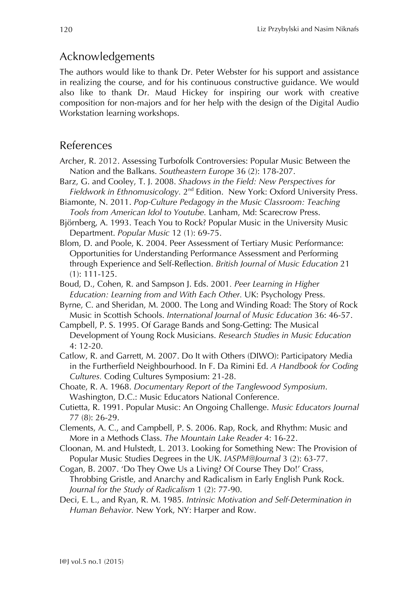## Acknowledgements

The authors would like to thank Dr. Peter Webster for his support and assistance in realizing the course, and for his continuous constructive guidance. We would also like to thank Dr. Maud Hickey for inspiring our work with creative composition for non-majors and for her help with the design of the Digital Audio Workstation learning workshops.

#### References

- Archer, R. 2012. Assessing Turbofolk Controversies: Popular Music Between the Nation and the Balkans. *Southeastern Europe* 36 (2): 178-207.
- Barz, G. and Cooley, T. J. 2008. *Shadows in the Field: New Perspectives for Fieldwork in Ethnomusicology.* 2nd Edition. New York: Oxford University Press.
- Biamonte, N. 2011. *Pop-Culture Pedagogy in the Music Classroom: Teaching Tools from American Idol to Youtube.* Lanham, Md: Scarecrow Press.
- Björnberg, A. 1993. Teach You to Rock? Popular Music in the University Music Department. *Popular Music* 12 (1): 69-75.
- Blom, D. and Poole, K. 2004. Peer Assessment of Tertiary Music Performance: Opportunities for Understanding Performance Assessment and Performing through Experience and Self-Reflection. *British Journal of Music Education* 21 (1): 111-125.
- Boud, D., Cohen, R. and Sampson J. Eds. 2001*. Peer Learning in Higher Education: Learning from and With Each Other.* UK: Psychology Press.
- Byrne, C. and Sheridan, M. 2000. The Long and Winding Road: The Story of Rock Music in Scottish Schools. *International Journal of Music Education* 36: 46-57.
- Campbell, P. S. 1995. Of Garage Bands and Song-Getting: The Musical Development of Young Rock Musicians. *Research Studies in Music Education* 4: 12-20.
- Catlow, R. and Garrett, M. 2007. Do It with Others (DIWO): Participatory Media in the Furtherfield Neighbourhood. In F. Da Rimini Ed. *A Handbook for Coding Cultures.* Coding Cultures Symposium: 21-28.
- Choate, R. A. 1968. *Documentary Report of the Tanglewood Symposium*. Washington, D.C.: Music Educators National Conference.
- Cutietta, R. 1991. Popular Music: An Ongoing Challenge. *Music Educators Journal* 77 (8): 26-29.
- Clements, A. C., and Campbell, P. S. 2006. Rap, Rock, and Rhythm: Music and More in a Methods Class. *The Mountain Lake Reader* 4: 16-22.
- Cloonan, M. and Hulstedt, L. 2013. Looking for Something New: The Provision of Popular Music Studies Degrees in the UK. *IASPM@Journal* 3 (2): 63-77.
- Cogan, B. 2007. 'Do They Owe Us a Living? Of Course They Do!' Crass, Throbbing Gristle, and Anarchy and Radicalism in Early English Punk Rock. *Journal for the Study of Radicalism* 1 (2): 77-90.
- Deci, E. L., and Ryan, R. M. 1985*. Intrinsic Motivation and Self-Determination in Human Behavior.* New York, NY: Harper and Row.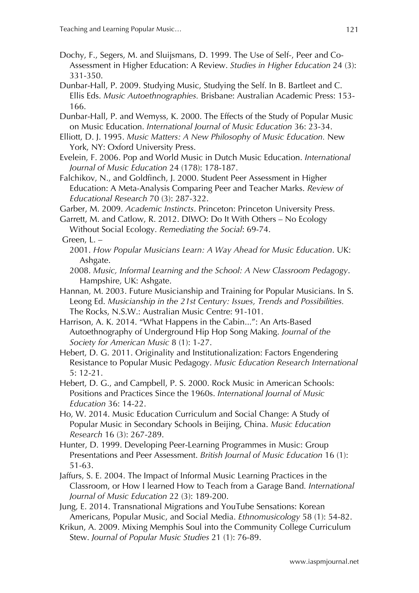- Dochy, F., Segers, M. and Sluijsmans, D. 1999. The Use of Self-, Peer and Co-Assessment in Higher Education: A Review. *Studies in Higher Education* 24 (3): 331-350.
- Dunbar-Hall, P. 2009. Studying Music, Studying the Self. In B. Bartleet and C. Ellis Eds. *Music Autoethnographies.* Brisbane: Australian Academic Press: 153- 166.
- Dunbar-Hall, P. and Wemyss, K. 2000. The Effects of the Study of Popular Music on Music Education. *International Journal of Music Education* 36: 23-34.
- Elliott, D. J. 1995. *Music Matters: A New Philosophy of Music Education.* New York, NY: Oxford University Press.
- Evelein, F. 2006. Pop and World Music in Dutch Music Education. *International Journal of Music Education* 24 (178): 178-187.
- Falchikov, N., and Goldfinch, J. 2000. Student Peer Assessment in Higher Education: A Meta-Analysis Comparing Peer and Teacher Marks. *Review of Educational Research* 70 (3): 287-322.
- Garber, M. 2009. *Academic Instincts*. Princeton: Princeton University Press.
- Garrett, M. and Catlow, R. 2012. DIWO: Do It With Others No Ecology Without Social Ecology. *Remediating the Social*: 69-74.
- Green,  $L -$ 
	- 2001. *How Popular Musicians Learn: A Way Ahead for Music Education*. UK: Ashgate.
	- 2008. *Music, Informal Learning and the School: A New Classroom Pedagogy*. Hampshire, UK: Ashgate.
- Hannan, M. 2003. Future Musicianship and Training for Popular Musicians. In S. Leong Ed. *Musicianship in the 21st Century: Issues, Trends and Possibilities.* The Rocks, N.S.W.: Australian Music Centre: 91-101.
- Harrison, A. K. 2014. "What Happens in the Cabin...": An Arts-Based Autoethnography of Underground Hip Hop Song Making. *Journal of the Society for American Music* 8 (1): 1-27.
- Hebert, D. G. 2011. Originality and Institutionalization: Factors Engendering Resistance to Popular Music Pedagogy. *Music Education Research International* 5: 12-21.
- Hebert, D. G., and Campbell, P. S. 2000. Rock Music in American Schools: Positions and Practices Since the 1960s. *International Journal of Music Education* 36: 14-22.
- Ho, W. 2014. Music Education Curriculum and Social Change: A Study of Popular Music in Secondary Schools in Beijing, China. *Music Education Research* 16 (3): 267-289.
- Hunter, D. 1999. Developing Peer-Learning Programmes in Music: Group Presentations and Peer Assessment. *British Journal of Music Education* 16 (1): 51-63.
- Jaffurs, S. E. 2004. The Impact of Informal Music Learning Practices in the Classroom, or How I learned How to Teach from a Garage Band*. International Journal of Music Education* 22 (3): 189-200.
- Jung, E. 2014. Transnational Migrations and YouTube Sensations: Korean Americans, Popular Music, and Social Media. *Ethnomusicology* 58 (1): 54-82.
- Krikun, A. 2009. Mixing Memphis Soul into the Community College Curriculum Stew. *Journal of Popular Music Studies* 21 (1): 76-89.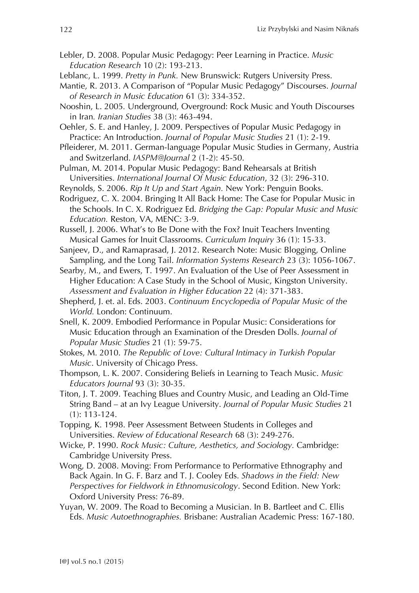- Lebler, D. 2008. Popular Music Pedagogy: Peer Learning in Practice. *Music Education Research* 10 (2): 193-213.
- Leblanc, L. 1999. *Pretty in Punk.* New Brunswick: Rutgers University Press.
- Mantie, R. 2013. A Comparison of "Popular Music Pedagogy" Discourses. *Journal of Research in Music Education* 61 (3): 334-352.
- Nooshin, L. 2005*.* Underground, Overground: Rock Music and Youth Discourses in Iran*. Iranian Studies* 38 (3): 463-494.
- Oehler, S. E. and Hanley, J. 2009. Perspectives of Popular Music Pedagogy in Practice: An Introduction. *Journal of Popular Music Studies* 21 (1): 2-19.
- Pfleiderer, M. 2011. German-language Popular Music Studies in Germany, Austria and Switzerland. *IASPM@Journal* 2 (1-2): 45-50.
- Pulman, M. 2014. Popular Music Pedagogy: Band Rehearsals at British Universities. *International Journal Of Music Education*, 32 (3): 296-310.
- Reynolds, S. 2006. *Rip It Up and Start Again.* New York: Penguin Books.
- Rodriguez, C. X. 2004. Bringing It All Back Home: The Case for Popular Music in the Schools. In C. X. Rodriguez Ed. *Bridging the Gap: Popular Music and Music Education.* Reston, VA, MENC: 3-9.
- Russell, J. 2006. What's to Be Done with the Fox? Inuit Teachers Inventing Musical Games for Inuit Classrooms. *Curriculum Inquiry* 36 (1): 15-33.
- Sanjeev, D., and Ramaprasad, J. 2012. Research Note: Music Blogging, Online Sampling, and the Long Tail. *Information Systems Research* 23 (3): 1056-1067.
- Searby, M., and Ewers, T. 1997. An Evaluation of the Use of Peer Assessment in Higher Education: A Case Study in the School of Music, Kingston University. *Assessment and Evaluation in Higher Education* 22 (4): 371-383.
- Shepherd, J. et. al. Eds. 2003. *Continuum Encyclopedia of Popular Music of the World.* London: Continuum.
- Snell, K. 2009. Embodied Performance in Popular Music: Considerations for Music Education through an Examination of the Dresden Dolls. *Journal of Popular Music Studies* 21 (1): 59-75.
- Stokes, M. 2010. *The Republic of Love: Cultural Intimacy in Turkish Popular Music*. University of Chicago Press.
- Thompson, L. K. 2007. Considering Beliefs in Learning to Teach Music. *Music Educators Journal* 93 (3): 30-35.
- Titon, J. T. 2009. Teaching Blues and Country Music, and Leading an Old-Time String Band – at an Ivy League University. *Journal of Popular Music Studies* 21 (1): 113-124.
- Topping, K. 1998. Peer Assessment Between Students in Colleges and Universities. *Review of Educational Research* 68 (3): 249-276.
- Wicke, P. 1990. *Rock Music: Culture, Aesthetics, and Sociology.* Cambridge: Cambridge University Press.
- Wong, D. 2008. Moving: From Performance to Performative Ethnography and Back Again. In G. F. Barz and T. J. Cooley Eds. *Shadows in the Field: New Perspectives for Fieldwork in Ethnomusicology*. Second Edition. New York: Oxford University Press: 76-89.
- Yuyan, W. 2009. The Road to Becoming a Musician. In B. Bartleet and C. Ellis Eds. *Music Autoethnographies.* Brisbane: Australian Academic Press: 167-180.